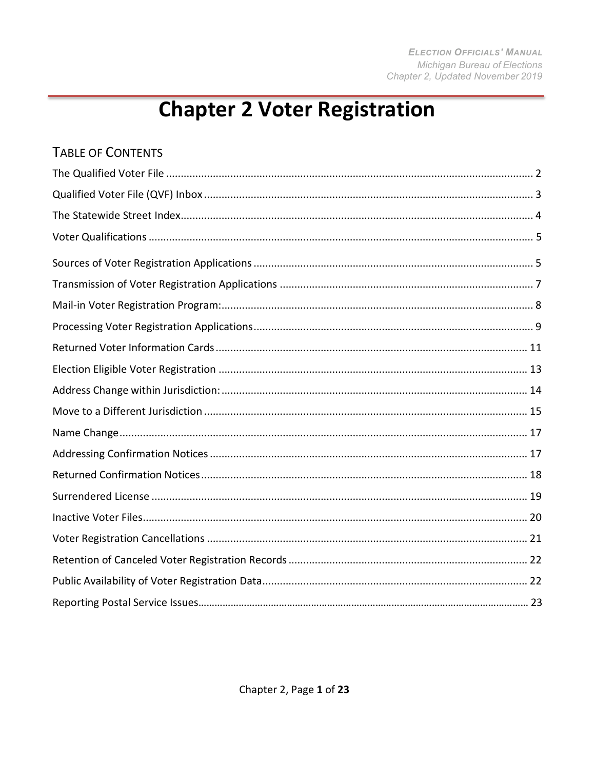# **Chapter 2 Voter Registration**

### **TABLE OF CONTENTS**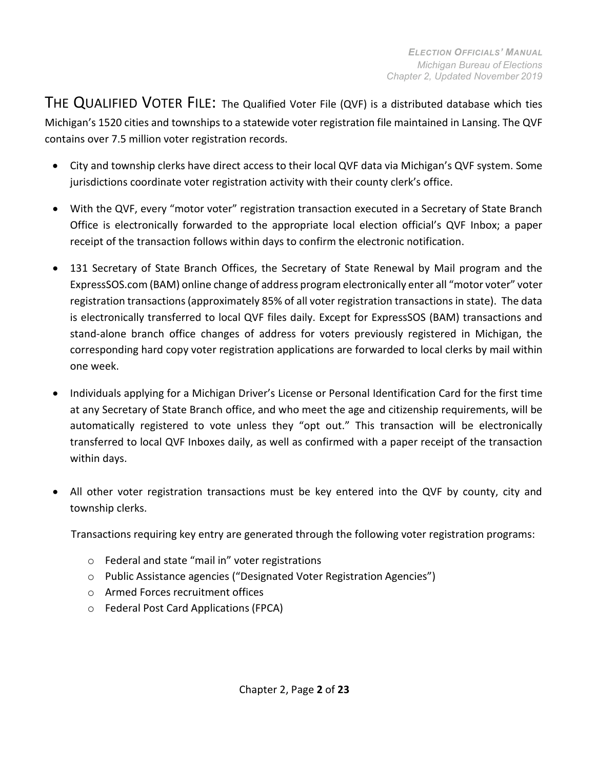THE QUALIFIED VOTER FILE: The Qualified Voter File (QVF) is a distributed database which ties Michigan's 1520 cities and townships to a statewide voter registration file maintained in Lansing. The QVF contains over 7.5 million voter registration records.

- City and township clerks have direct access to their local QVF data via Michigan's QVF system. Some jurisdictions coordinate voter registration activity with their county clerk's office.
- With the QVF, every "motor voter" registration transaction executed in a Secretary of State Branch Office is electronically forwarded to the appropriate local election official's QVF Inbox; a paper receipt of the transaction follows within days to confirm the electronic notification.
- 131 Secretary of State Branch Offices, the Secretary of State Renewal by Mail program and the ExpressSOS.com (BAM) online change of address program electronically enter all "motor voter" voter registration transactions(approximately 85% of all voter registration transactions in state). The data is electronically transferred to local QVF files daily. Except for ExpressSOS (BAM) transactions and stand-alone branch office changes of address for voters previously registered in Michigan, the corresponding hard copy voter registration applications are forwarded to local clerks by mail within one week.
- Individuals applying for a Michigan Driver's License or Personal Identification Card for the first time at any Secretary of State Branch office, and who meet the age and citizenship requirements, will be automatically registered to vote unless they "opt out." This transaction will be electronically transferred to local QVF Inboxes daily, as well as confirmed with a paper receipt of the transaction within days.
- All other voter registration transactions must be key entered into the QVF by county, city and township clerks.

Transactions requiring key entry are generated through the following voter registration programs:

- o Federal and state "mail in" voter registrations
- o Public Assistance agencies ("Designated Voter Registration Agencies")
- o Armed Forces recruitment offices
- o Federal Post Card Applications (FPCA)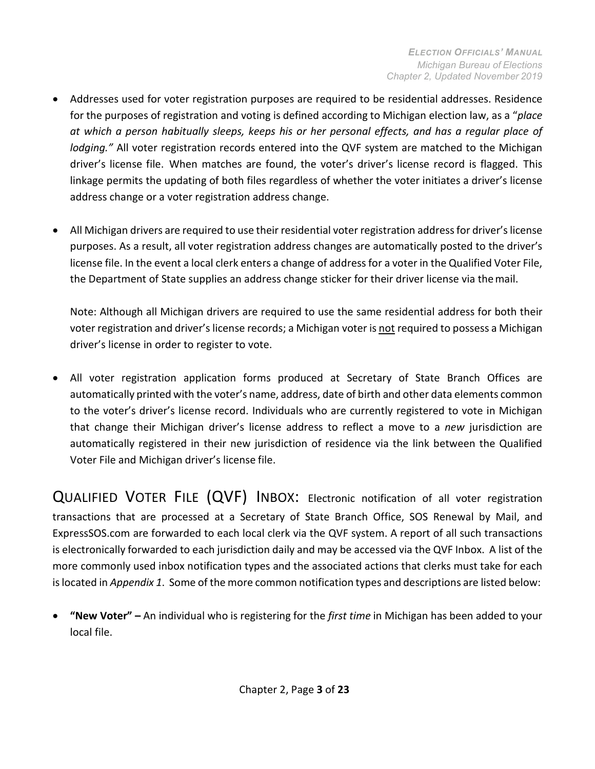- Addresses used for voter registration purposes are required to be residential addresses. Residence for the purposes of registration and voting is defined according to Michigan election law, as a "*place at which a person habitually sleeps, keeps his or her personal effects, and has a regular place of lodging."* All voter registration records entered into the QVF system are matched to the Michigan driver's license file. When matches are found, the voter's driver's license record is flagged. This linkage permits the updating of both files regardless of whether the voter initiates a driver's license address change or a voter registration address change.
- All Michigan drivers are required to use their residential voter registration address for driver's license purposes. As a result, all voter registration address changes are automatically posted to the driver's license file. In the event a local clerk enters a change of address for a voter in the Qualified Voter File, the Department of State supplies an address change sticker for their driver license via themail.

Note: Although all Michigan drivers are required to use the same residential address for both their voter registration and driver'slicense records; a Michigan voter is not required to possess a Michigan driver's license in order to register to vote.

• All voter registration application forms produced at Secretary of State Branch Offices are automatically printed with the voter's name, address, date of birth and other data elements common to the voter's driver's license record. Individuals who are currently registered to vote in Michigan that change their Michigan driver's license address to reflect a move to a *new* jurisdiction are automatically registered in their new jurisdiction of residence via the link between the Qualified Voter File and Michigan driver's license file.

<span id="page-2-0"></span>QUALIFIED VOTER FILE (QVF) INBOX: Electronic notification of all voter registration transactions that are processed at a Secretary of State Branch Office, SOS Renewal by Mail, and ExpressSOS.com are forwarded to each local clerk via the QVF system. A report of all such transactions is electronically forwarded to each jurisdiction daily and may be accessed via the QVF Inbox. A list of the more commonly used inbox notification types and the associated actions that clerks must take for each islocated in *Appendix 1*. Some of the more common notification types and descriptions are listed below:

• **"New Voter" –** An individual who is registering for the *first time* in Michigan has been added to your local file.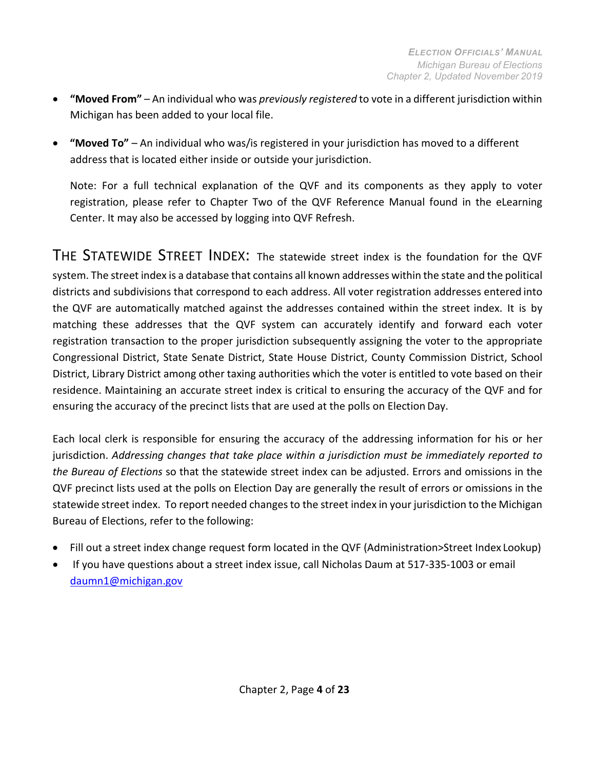- **"Moved From"** An individual who was *previously registered* to vote in a different jurisdiction within Michigan has been added to your local file.
- **"Moved To"**  An individual who was/is registered in your jurisdiction has moved to a different address that is located either inside or outside your jurisdiction.

Note: For a full technical explanation of the QVF and its components as they apply to voter registration, please refer to Chapter Two of the QVF Reference Manual found in the eLearning Center. It may also be accessed by logging into QVF Refresh.

<span id="page-3-0"></span>THE STATEWIDE STREET INDEX: The statewide street index is the foundation for the QVF system. The street index is a database that contains all known addresses within the state and the political districts and subdivisions that correspond to each address. All voter registration addresses entered into the QVF are automatically matched against the addresses contained within the street index. It is by matching these addresses that the QVF system can accurately identify and forward each voter registration transaction to the proper jurisdiction subsequently assigning the voter to the appropriate Congressional District, State Senate District, State House District, County Commission District, School District, Library District among other taxing authorities which the voter is entitled to vote based on their residence. Maintaining an accurate street index is critical to ensuring the accuracy of the QVF and for ensuring the accuracy of the precinct lists that are used at the polls on Election Day.

Each local clerk is responsible for ensuring the accuracy of the addressing information for his or her jurisdiction. *Addressing changes that take place within a jurisdiction must be immediately reported to the Bureau of Elections* so that the statewide street index can be adjusted. Errors and omissions in the QVF precinct lists used at the polls on Election Day are generally the result of errors or omissions in the statewide street index. To report needed changes to the street index in your jurisdiction to the Michigan Bureau of Elections, refer to the following:

- Fill out a street index change request form located in the QVF (Administration>Street Index Lookup)
- If you have questions about a street index issue, call Nicholas Daum at 517-335-1003 or emai[l](mailto:daumn1@michigan.gov) [daumn1@michigan.gov](mailto:daumn1@michigan.gov)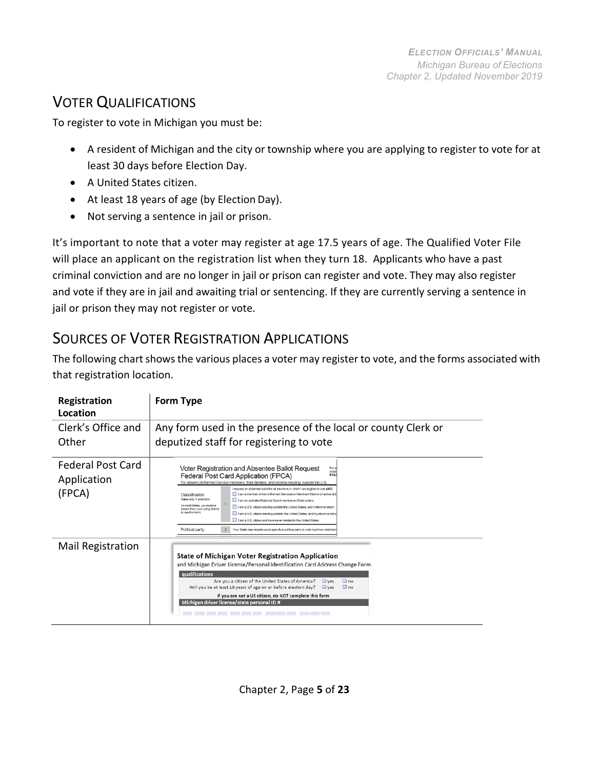# <span id="page-4-0"></span>VOTER QUALIFICATIONS

To register to vote in Michigan you must be:

- A resident of Michigan and the city or township where you are applying to register to vote for at least 30 days before Election Day.
- A United States citizen.
- At least 18 years of age (by Election Day).
- Not serving a sentence in jail or prison.

It's important to note that a voter may register at age 17.5 years of age. The Qualified Voter File will place an applicant on the registration list when they turn 18. Applicants who have a past criminal conviction and are no longer in jail or prison can register and vote. They may also register and vote if they are in jail and awaiting trial or sentencing. If they are currently serving a sentence in jail or prison they may not register or vote.

# SOURCES OF VOTER REGISTRATION APPLICATIONS

The following chart shows the various places a voter may register to vote, and the forms associated with that registration location.

| Registration<br>Location                   | Form Type                                                                                                                                                                                                                                                                                                                                                                                                                                                                                                                                                                                                                                                                                                                                                                                                                                                                                                                                      |  |  |  |  |
|--------------------------------------------|------------------------------------------------------------------------------------------------------------------------------------------------------------------------------------------------------------------------------------------------------------------------------------------------------------------------------------------------------------------------------------------------------------------------------------------------------------------------------------------------------------------------------------------------------------------------------------------------------------------------------------------------------------------------------------------------------------------------------------------------------------------------------------------------------------------------------------------------------------------------------------------------------------------------------------------------|--|--|--|--|
| Clerk's Office and<br>Other                | Any form used in the presence of the local or county Clerk or<br>deputized staff for registering to vote                                                                                                                                                                                                                                                                                                                                                                                                                                                                                                                                                                                                                                                                                                                                                                                                                                       |  |  |  |  |
| Federal Post Card<br>Application<br>(FPCA) | Voter Registration and Absentee Ballot Request<br>For a<br>Assis<br>Federal Post Card Application (FPCA)<br><b>FVAI</b><br>For absent Uniformed Service members, their families, and citizens residing outside the U.S.<br>I request an absentee ballot for all elections in which I am eligible to vote AND:<br>I am a member of the Uniformed Services or Merchant Marine on active dut<br>Classification<br>Make only 1 selection.<br>I am an activated National Guard member on State orders.<br>(In most States, you must be<br>I am a U.S. citizen residing outside the United States, and I intend to return.<br>absent from your voting district<br>to use this form)<br>I am a U.S. citizen residing outside the United States, and my return is not of<br>I am a U.S. citizen and have never resided in the United States<br>Political party<br>Your State may require you to specify a political party to vote in primary elections |  |  |  |  |
| <b>Mail Registration</b>                   | <b>State of Michigan Voter Registration Application</b><br>and Michigan Driver License/Personal Identification Card Address Change Form<br>qualifications<br>Are you a citizen of the United States of America?<br>$\Box$ no<br>$\Box$ yes<br>Will you be at least 18 years of age on or before election day?<br>$\Box$ yes<br>n <sub>o</sub><br>If you are not a US citizen, do NOT complete this form<br>Michigan driver license/state personal ID #                                                                                                                                                                                                                                                                                                                                                                                                                                                                                         |  |  |  |  |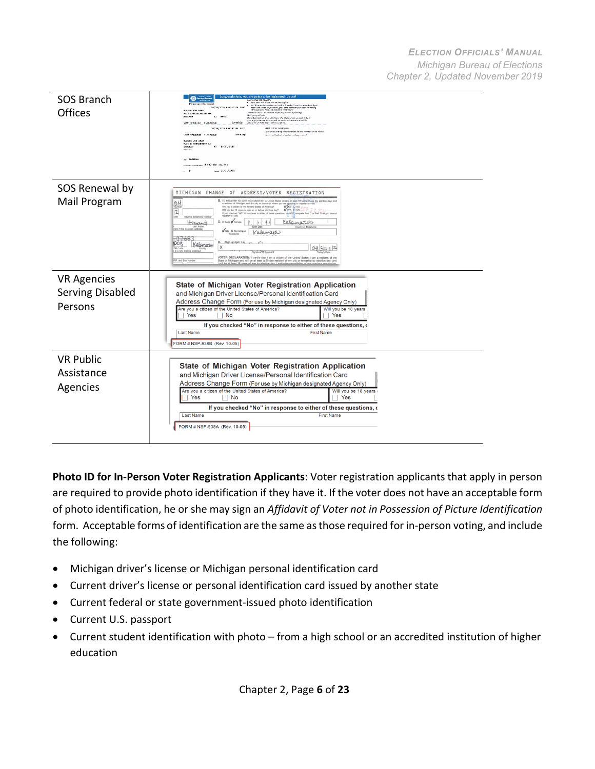| <b>SOS Branch</b><br>Offices | Congratulations, you are going to be registered to v<br><b>CB-</b><br>Hoc's what will happen.<br>Thur tiert will make one you're eligible<br>Please saw<br><b>Stuff he meted spokers</b><br>a Carolino to<br>CORD 20050 PARTNER PEOPLE ARE<br>receive the cast. If you don't get a cred, componyour clerk by visiting<br>Michael Lance/Hote and selectric "Your Clerk"<br>ROBERT JOB SAMS<br>Prepare to voted Get movers in proc questions by working.<br>Michigen gov/hore.<br>9135 E WASHINGTON RD<br><b>HI 40621</b><br><b>SACTION</b><br>We will protect your information. The office where you culm that<br>Township contracts applicates will be east confidented. Township condense for such that superiorities<br>Your Indefiction ELIMORELS<br>08/28/2019 899240226 0002<br>Alleman physical and prints<br>Annatomatic value members from the head of the complete disc that in the<br>Votes Preholiction #1200071810<br>Towrobis<br>Analiti and hashalter signification large required<br>ROBBET JOR ANNA<br>9135 B MARKEWORDN RD<br>MT 46601-9446<br>SAULKN<br><b>GASEWAM</b><br>none 11/11/1990 |  |  |  |
|------------------------------|-------------------------------------------------------------------------------------------------------------------------------------------------------------------------------------------------------------------------------------------------------------------------------------------------------------------------------------------------------------------------------------------------------------------------------------------------------------------------------------------------------------------------------------------------------------------------------------------------------------------------------------------------------------------------------------------------------------------------------------------------------------------------------------------------------------------------------------------------------------------------------------------------------------------------------------------------------------------------------------------------------------------------------------------------------------------------------------------------------------|--|--|--|
| SOS Renewal by               | MICHIGAN CHANGE OF<br>ADDRESS/VOTER REGISTRATION                                                                                                                                                                                                                                                                                                                                                                                                                                                                                                                                                                                                                                                                                                                                                                                                                                                                                                                                                                                                                                                            |  |  |  |
| Mail Program                 | B. TO REGISTER TO VOTE YOU MUST BE: A United States offizers at least 18 years of age by election day); and<br>54<br>a resident of Michigan and the city or township where you are applying to register to vi<br>Are you a citizen of the United States of America? Will you be 18 years of age on or before election day? WYES D NO<br>$\overline{2}$<br>If you checked "NO" in response to either of these questions, do NOT complete Part C or Part D as you cannot<br>register to vote.<br>Date<br>Daytime Telephone Nu<br>Calamaros<br>Howard<br>C. C Male & Female<br>County of R<br>o if this is a new add<br>City II Township of<br>Kalamaza<br>nd Box/News<br>D. (Sign at opth Xti)<br>$pos_1$<br>Kalamaza<br>X<br>083012<br>is a new maling address.<br>VOTER DECLARATION: I certify that I am a citizen of the United States; I am a resident of the<br>R.R. and Box Number<br>State of Michigan and will be at least a 30-day resident of my city or township by election day; and                                                                                                              |  |  |  |
| <b>VR Agencies</b>           |                                                                                                                                                                                                                                                                                                                                                                                                                                                                                                                                                                                                                                                                                                                                                                                                                                                                                                                                                                                                                                                                                                             |  |  |  |
| <b>Serving Disabled</b>      | State of Michigan Voter Registration Application<br>and Michigan Driver License/Personal Identification Card                                                                                                                                                                                                                                                                                                                                                                                                                                                                                                                                                                                                                                                                                                                                                                                                                                                                                                                                                                                                |  |  |  |
| Persons                      | Address Change Form (For use by Michigan designated Agency Only)                                                                                                                                                                                                                                                                                                                                                                                                                                                                                                                                                                                                                                                                                                                                                                                                                                                                                                                                                                                                                                            |  |  |  |
|                              | Are you a citizen of the United States of America?<br>Will you be 18 years<br>Yes<br>Yes<br>∏ No                                                                                                                                                                                                                                                                                                                                                                                                                                                                                                                                                                                                                                                                                                                                                                                                                                                                                                                                                                                                            |  |  |  |
|                              | If you checked "No" in response to either of these questions, o<br>Last Name<br><b>First Name</b>                                                                                                                                                                                                                                                                                                                                                                                                                                                                                                                                                                                                                                                                                                                                                                                                                                                                                                                                                                                                           |  |  |  |
|                              | FORM # NSP-938B (Rev. 10-05)                                                                                                                                                                                                                                                                                                                                                                                                                                                                                                                                                                                                                                                                                                                                                                                                                                                                                                                                                                                                                                                                                |  |  |  |
| <b>VR Public</b>             |                                                                                                                                                                                                                                                                                                                                                                                                                                                                                                                                                                                                                                                                                                                                                                                                                                                                                                                                                                                                                                                                                                             |  |  |  |
| Assistance                   | State of Michigan Voter Registration Application<br>and Michigan Driver License/Personal Identification Card                                                                                                                                                                                                                                                                                                                                                                                                                                                                                                                                                                                                                                                                                                                                                                                                                                                                                                                                                                                                |  |  |  |
| Agencies                     | Address Change Form (For use by Michigan designated Agency Only)<br>Are you a citizen of the United States of America?<br>Will you be 18 years                                                                                                                                                                                                                                                                                                                                                                                                                                                                                                                                                                                                                                                                                                                                                                                                                                                                                                                                                              |  |  |  |
|                              | Yes<br>Yes<br>$\Box$ No                                                                                                                                                                                                                                                                                                                                                                                                                                                                                                                                                                                                                                                                                                                                                                                                                                                                                                                                                                                                                                                                                     |  |  |  |
|                              | If you checked "No" in response to either of these questions, o<br><b>First Name</b><br><b>Last Name</b>                                                                                                                                                                                                                                                                                                                                                                                                                                                                                                                                                                                                                                                                                                                                                                                                                                                                                                                                                                                                    |  |  |  |
|                              | FORM # NSP-938A (Rev. 10-05)                                                                                                                                                                                                                                                                                                                                                                                                                                                                                                                                                                                                                                                                                                                                                                                                                                                                                                                                                                                                                                                                                |  |  |  |
|                              |                                                                                                                                                                                                                                                                                                                                                                                                                                                                                                                                                                                                                                                                                                                                                                                                                                                                                                                                                                                                                                                                                                             |  |  |  |

**Photo ID for In-Person Voter Registration Applicants**: Voter registration applicants that apply in person are required to provide photo identification if they have it. If the voter does not have an acceptable form of photo identification, he or she may sign an *Affidavit of Voter not in Possession of Picture Identification*  form. Acceptable forms of identification are the same asthose required for in-person voting, and include the following:

- Michigan driver's license or Michigan personal identification card
- Current driver's license or personal identification card issued by another state
- Current federal or state government-issued photo identification
- Current U.S. passport
- Current student identification with photo from a high school or an accredited institution of higher education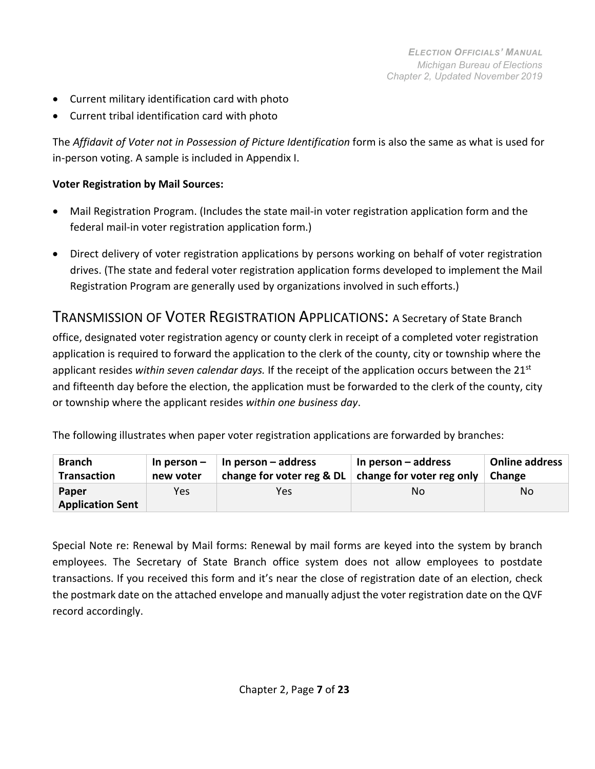- Current military identification card with photo
- Current tribal identification card with photo

The *Affidavit of Voter not in Possession of Picture Identification* form is also the same as what is used for in-person voting. A sample is included in Appendix I.

#### **Voter Registration by Mail Sources:**

- Mail Registration Program. (Includes the state mail-in voter registration application form and the federal mail-in voter registration application form.)
- Direct delivery of voter registration applications by persons working on behalf of voter registration drives. (The state and federal voter registration application forms developed to implement the Mail Registration Program are generally used by organizations involved in such efforts.)

#### <span id="page-6-0"></span>TRANSMISSION OF VOTER REGISTRATION APPLICATIONS: A Secretary of State Branch

office, designated voter registration agency or county clerk in receipt of a completed voter registration application is required to forward the application to the clerk of the county, city or township where the applicant resides *within seven calendar days.* If the receipt of the application occurs between the 21st and fifteenth day before the election, the application must be forwarded to the clerk of the county, city or township where the applicant resides *within one business day*.

The following illustrates when paper voter registration applications are forwarded by branches:

| <b>Branch</b>                    | In person $-$ | In person $-$ address                                 | In person – address | Online address |
|----------------------------------|---------------|-------------------------------------------------------|---------------------|----------------|
| <b>Transaction</b>               | new voter     | change for voter reg & $DL$ change for voter reg only |                     | Change         |
| Paper<br><b>Application Sent</b> | Yes           | Yes                                                   | No                  | No             |

<span id="page-6-1"></span>Special Note re: Renewal by Mail forms: Renewal by mail forms are keyed into the system by branch employees. The Secretary of State Branch office system does not allow employees to postdate transactions. If you received this form and it's near the close of registration date of an election, check the postmark date on the attached envelope and manually adjust the voter registration date on the QVF record accordingly.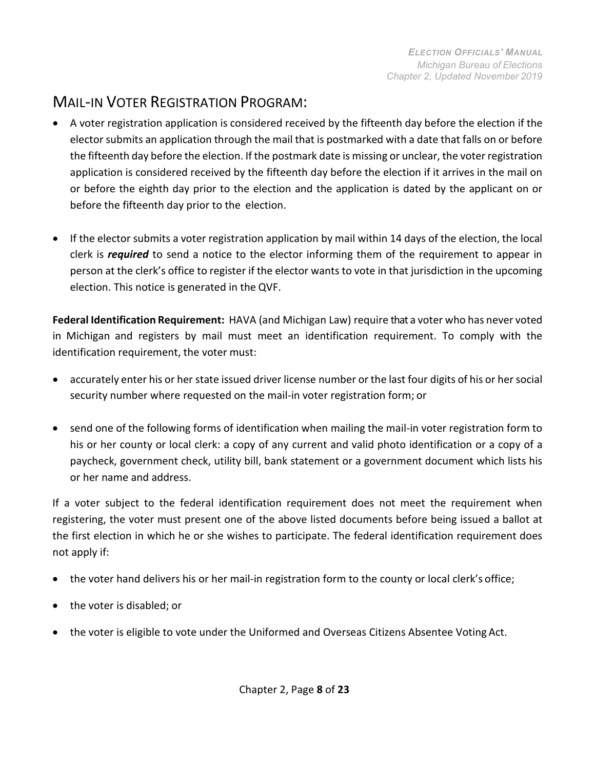# MAIL-IN VOTER REGISTRATION PROGRAM:

- A voter registration application is considered received by the fifteenth day before the election if the elector submits an application through the mail that is postmarked with a date that falls on or before the fifteenth day before the election. If the postmark date is missing or unclear, the voter registration application is considered received by the fifteenth day before the election if it arrives in the mail on or before the eighth day prior to the election and the application is dated by the applicant on or before the fifteenth day prior to the election.
- If the elector submits a voter registration application by mail within 14 days of the election, the local clerk is *required* to send a notice to the elector informing them of the requirement to appear in person at the clerk's office to register if the elector wants to vote in that jurisdiction in the upcoming election. This notice is generated in the QVF.

**Federal Identification Requirement:** HAVA (and Michigan Law) require that a voter who has never voted in Michigan and registers by mail must meet an identification requirement. To comply with the identification requirement, the voter must:

- accurately enter his or her state issued driver license number or the last four digits of his or her social security number where requested on the mail-in voter registration form; or
- send one of the following forms of identification when mailing the mail-in voter registration form to his or her county or local clerk: a copy of any current and valid photo identification or a copy of a paycheck, government check, utility bill, bank statement or a government document which lists his or her name and address.

If a voter subject to the federal identification requirement does not meet the requirement when registering, the voter must present one of the above listed documents before being issued a ballot at the first election in which he or she wishes to participate. The federal identification requirement does not apply if:

- the voter hand delivers his or her mail-in registration form to the county or local clerk's office;
- the voter is disabled; or
- the voter is eligible to vote under the Uniformed and Overseas Citizens Absentee Voting Act.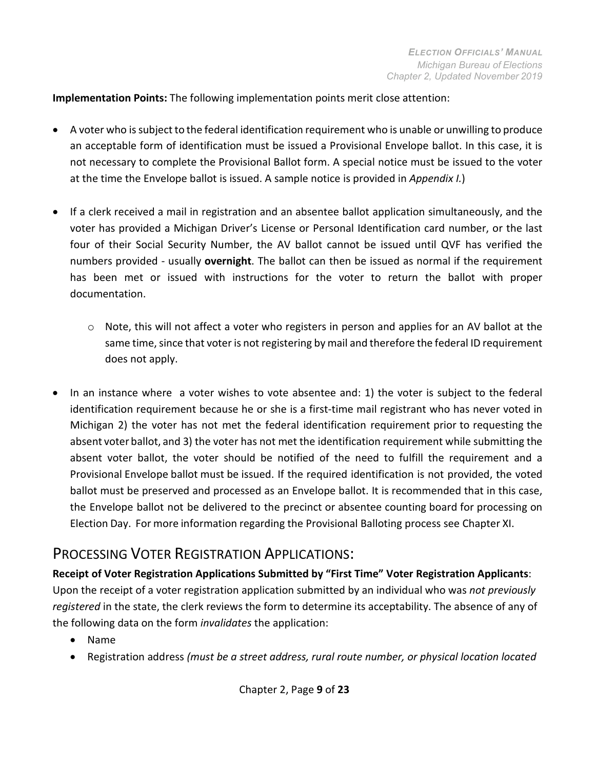**Implementation Points:** The following implementation points merit close attention:

- A voter who issubject to the federal identification requirement who is unable or unwilling to produce an acceptable form of identification must be issued a Provisional Envelope ballot. In this case, it is not necessary to complete the Provisional Ballot form. A special notice must be issued to the voter at the time the Envelope ballot is issued. A sample notice is provided in *Appendix I.*)
- If a clerk received a mail in registration and an absentee ballot application simultaneously, and the voter has provided a Michigan Driver's License or Personal Identification card number, or the last four of their Social Security Number, the AV ballot cannot be issued until QVF has verified the numbers provided - usually **overnight**. The ballot can then be issued as normal if the requirement has been met or issued with instructions for the voter to return the ballot with proper documentation.
	- $\circ$  Note, this will not affect a voter who registers in person and applies for an AV ballot at the same time, since that voter is not registering by mail and therefore the federal ID requirement does not apply.
- In an instance where a voter wishes to vote absentee and: 1) the voter is subject to the federal identification requirement because he or she is a first-time mail registrant who has never voted in Michigan 2) the voter has not met the federal identification requirement prior to requesting the absent voter ballot, and 3) the voter has not met the identification requirement while submitting the absent voter ballot, the voter should be notified of the need to fulfill the requirement and a Provisional Envelope ballot must be issued. If the required identification is not provided, the voted ballot must be preserved and processed as an Envelope ballot. It is recommended that in this case, the Envelope ballot not be delivered to the precinct or absentee counting board for processing on Election Day. For more information regarding the Provisional Balloting process see Chapter XI.

### <span id="page-8-0"></span>PROCESSING VOTER REGISTRATION APPLICATIONS:

**Receipt of Voter Registration Applications Submitted by "First Time" Voter Registration Applicants**: Upon the receipt of a voter registration application submitted by an individual who was *not previously registered* in the state, the clerk reviews the form to determine its acceptability. The absence of any of the following data on the form *invalidates* the application:

- Name
- Registration address *(must be a street address, rural route number, or physical location located*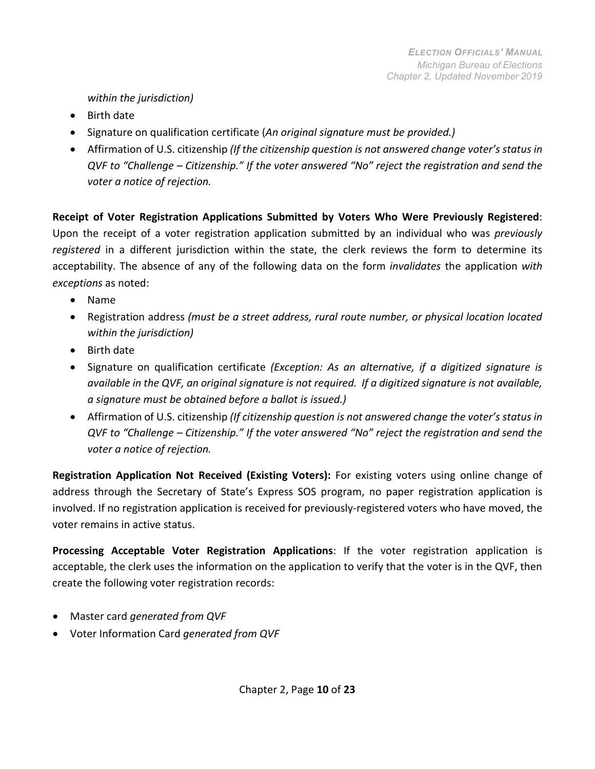#### *within the jurisdiction)*

- Birth date
- Signature on qualification certificate (*An original signature must be provided.)*
- Affirmation of U.S. citizenship *(If the citizenship question is not answered change voter's status in QVF to "Challenge – Citizenship." If the voter answered "No" reject the registration and send the voter a notice of rejection.*

**Receipt of Voter Registration Applications Submitted by Voters Who Were Previously Registered**: Upon the receipt of a voter registration application submitted by an individual who was *previously registered* in a different jurisdiction within the state, the clerk reviews the form to determine its acceptability. The absence of any of the following data on the form *invalidates* the application *with exceptions* as noted:

- Name
- Registration address *(must be a street address, rural route number, or physical location located within the jurisdiction)*
- Birth date
- Signature on qualification certificate *(Exception: As an alternative, if a digitized signature is available in the QVF, an original signature is not required. If a digitized signature is not available, a signature must be obtained before a ballot is issued.)*
- Affirmation of U.S. citizenship *(If citizenship question is not answered change the voter's status in QVF to "Challenge – Citizenship." If the voter answered "No" reject the registration and send the voter a notice of rejection.*

**Registration Application Not Received (Existing Voters):** For existing voters using online change of address through the Secretary of State's Express SOS program, no paper registration application is involved. If no registration application is received for previously-registered voters who have moved, the voter remains in active status.

**Processing Acceptable Voter Registration Applications**: If the voter registration application is acceptable, the clerk uses the information on the application to verify that the voter is in the QVF, then create the following voter registration records:

- Master card *generated from QVF*
- Voter Information Card *generated from QVF*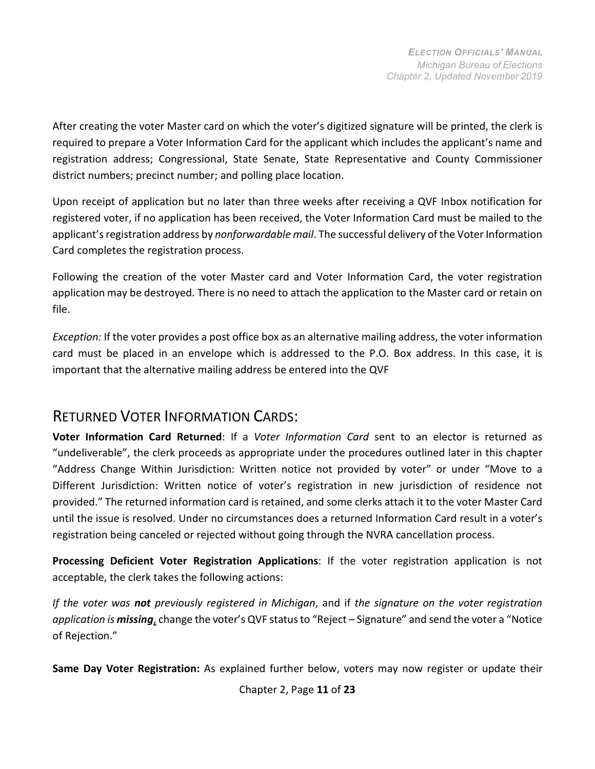After creating the voter Master card on which the voter's digitized signature will be printed, the clerk is required to prepare a Voter Information Card for the applicant which includes the applicant's name and registration address; Congressional, State Senate, State Representative and County Commissioner district numbers; precinct number; and polling place location.

Upon receipt of application but no later than three weeks after receiving a QVF Inbox notification for registered voter, if no application has been received, the Voter Information Card must be mailed to the applicant's registration address by *nonforwardable mail*. The successful delivery of the Voter Information Card completes the registration process.

Following the creation of the voter Master card and Voter Information Card, the voter registration application may be destroyed. There is no need to attach the application to the Master card or retain on file.

<span id="page-10-0"></span>*Exception:* If the voter provides a post office box as an alternative mailing address, the voter information card must be placed in an envelope which is addressed to the P.O. Box address. In this case, it is important that the alternative mailing address be entered into the QVF

#### RETURNED VOTER INFORMATION CARDS:

**Voter Information Card Returned**: If a *Voter Information Card* sent to an elector is returned as "undeliverable", the clerk proceeds as appropriate under the procedures outlined later in this chapter "Address Change Within Jurisdiction: Written notice not provided by voter" or under "Move to a Different Jurisdiction: Written notice of voter's registration in new jurisdiction of residence not provided." The returned information card is retained, and some clerks attach it to the voter Master Card until the issue is resolved. Under no circumstances does a returned Information Card result in a voter's registration being canceled or rejected without going through the NVRA cancellation process.

**Processing Deficient Voter Registration Applications**: If the voter registration application is not acceptable, the clerk takes the following actions:

*If the voter was not previously registered in Michigan*, and if *the signature on the voter registration*  application is *missing*, change the voter's QVF status to "Reject – Signature" and send the voter a "Notice of Rejection."

**Same Day Voter Registration:** As explained further below, voters may now register or update their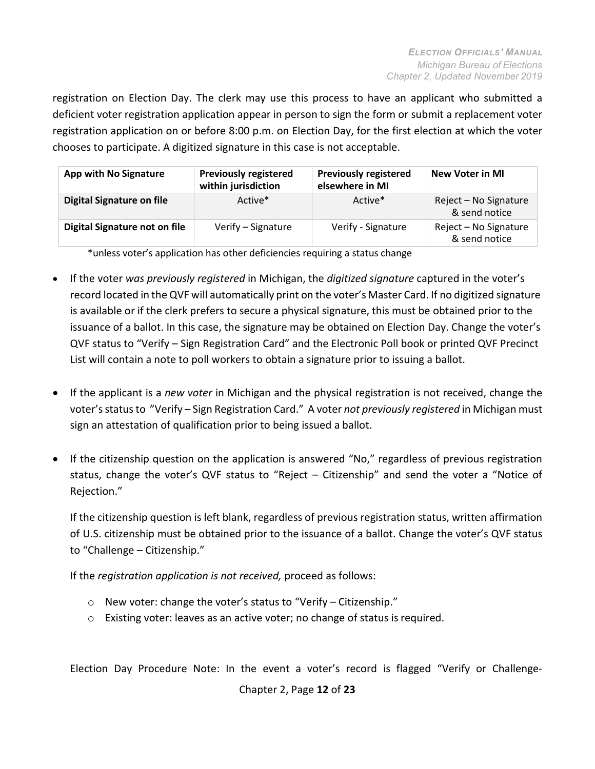registration on Election Day. The clerk may use this process to have an applicant who submitted a deficient voter registration application appear in person to sign the form or submit a replacement voter registration application on or before 8:00 p.m. on Election Day, for the first election at which the voter chooses to participate. A digitized signature in this case is not acceptable.

| <b>App with No Signature</b>  | <b>Previously registered</b><br>within jurisdiction | <b>Previously registered</b><br>elsewhere in MI | <b>New Voter in MI</b>                 |
|-------------------------------|-----------------------------------------------------|-------------------------------------------------|----------------------------------------|
| Digital Signature on file     | Active*                                             | Active*                                         | Reject - No Signature<br>& send notice |
| Digital Signature not on file | Verify - Signature                                  | Verify - Signature                              | Reject - No Signature<br>& send notice |

\*unless voter's application has other deficiencies requiring a status change

- If the voter *was previously registered* in Michigan, the *digitized signature* captured in the voter's record located in the QVF will automatically print on the voter's Master Card. If no digitized signature is available or if the clerk prefers to secure a physical signature, this must be obtained prior to the issuance of a ballot. In this case, the signature may be obtained on Election Day. Change the voter's QVF status to "Verify – Sign Registration Card" and the Electronic Poll book or printed QVF Precinct List will contain a note to poll workers to obtain a signature prior to issuing a ballot.
- If the applicant is a *new voter* in Michigan and the physical registration is not received, change the voter'sstatusto "Verify – Sign Registration Card." A voter *not previously registered* in Michigan must sign an attestation of qualification prior to being issued a ballot.
- If the citizenship question on the application is answered "No," regardless of previous registration status, change the voter's QVF status to "Reject – Citizenship" and send the voter a "Notice of Rejection."

If the citizenship question is left blank, regardless of previous registration status, written affirmation of U.S. citizenship must be obtained prior to the issuance of a ballot. Change the voter's QVF status to "Challenge – Citizenship."

If the *registration application is not received,* proceed as follows:

- o New voter: change the voter's status to "Verify Citizenship."
- o Existing voter: leaves as an active voter; no change of status isrequired.

Election Day Procedure Note: In the event a voter's record is flagged "Verify or Challenge-

Chapter 2, Page **12** of **23**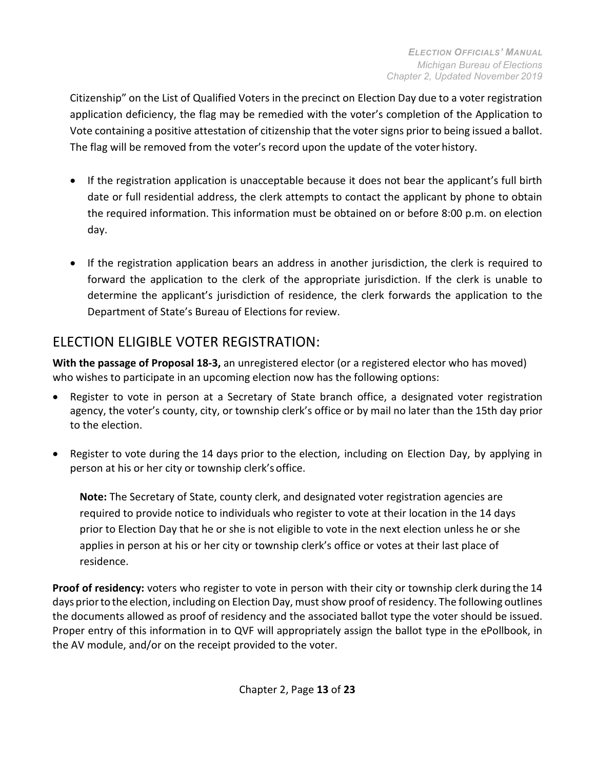Citizenship" on the List of Qualified Voters in the precinct on Election Day due to a voter registration application deficiency, the flag may be remedied with the voter's completion of the Application to Vote containing a positive attestation of citizenship that the voter signs prior to being issued a ballot. The flag will be removed from the voter's record upon the update of the voter history.

- If the registration application is unacceptable because it does not bear the applicant's full birth date or full residential address, the clerk attempts to contact the applicant by phone to obtain the required information. This information must be obtained on or before 8:00 p.m. on election day.
- If the registration application bears an address in another jurisdiction, the clerk is required to forward the application to the clerk of the appropriate jurisdiction. If the clerk is unable to determine the applicant's jurisdiction of residence, the clerk forwards the application to the Department of State's Bureau of Elections for review.

## ELECTION ELIGIBLE VOTER REGISTRATION:

**With the passage of Proposal 18-3,** an unregistered elector (or a registered elector who has moved) who wishes to participate in an upcoming election now has the following options:

- Register to vote in person at a Secretary of State branch office, a designated voter registration agency, the voter's county, city, or township clerk's office or by mail no later than the 15th day prior to the election.
- Register to vote during the 14 days prior to the election, including on Election Day, by applying in person at his or her city or township clerk's office.

**Note:** The Secretary of State, county clerk, and designated voter registration agencies are required to provide notice to individuals who register to vote at their location in the 14 days prior to Election Day that he or she is not eligible to vote in the next election unless he or she applies in person at his or her city or township clerk's office or votes at their last place of residence.

**Proof of residency:** voters who register to vote in person with their city or township clerk during the 14 days priorto the election, including on Election Day, must show proof of residency. The following outlines the documents allowed as proof of residency and the associated ballot type the voter should be issued. Proper entry of this information in to QVF will appropriately assign the ballot type in the ePollbook, in the AV module, and/or on the receipt provided to the voter.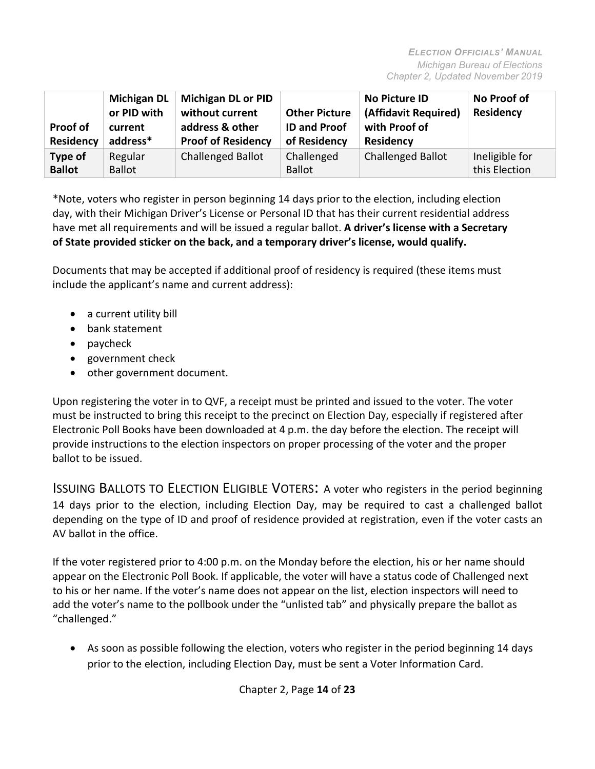| Proof of<br>Residency    | <b>Michigan DL</b><br>or PID with<br>current<br>address* | <b>Michigan DL or PID</b><br>without current<br>address & other<br><b>Proof of Residency</b> | <b>Other Picture</b><br><b>ID and Proof</b><br>of Residency | No Picture ID<br>(Affidavit Required)<br>with Proof of<br><b>Residency</b> | No Proof of<br><b>Residency</b> |
|--------------------------|----------------------------------------------------------|----------------------------------------------------------------------------------------------|-------------------------------------------------------------|----------------------------------------------------------------------------|---------------------------------|
| Type of<br><b>Ballot</b> | Regular<br><b>Ballot</b>                                 | <b>Challenged Ballot</b>                                                                     | Challenged<br><b>Ballot</b>                                 | <b>Challenged Ballot</b>                                                   | Ineligible for<br>this Election |

\*Note, voters who register in person beginning 14 days prior to the election, including election day, with their Michigan Driver's License or Personal ID that has their current residential address have met all requirements and will be issued a regular ballot. **A driver's license with a Secretary of State provided sticker on the back, and a temporary driver's license, would qualify.**

Documents that may be accepted if additional proof of residency is required (these items must include the applicant's name and current address):

- a current utility bill
- bank statement
- paycheck
- government check
- other government document.

Upon registering the voter in to QVF, a receipt must be printed and issued to the voter. The voter must be instructed to bring this receipt to the precinct on Election Day, especially if registered after Electronic Poll Books have been downloaded at 4 p.m. the day before the election. The receipt will provide instructions to the election inspectors on proper processing of the voter and the proper ballot to be issued.

ISSUING BALLOTS TO ELECTION ELIGIBLE VOTERS: A voter who registers in the period beginning 14 days prior to the election, including Election Day, may be required to cast a challenged ballot depending on the type of ID and proof of residence provided at registration, even if the voter casts an AV ballot in the office.

If the voter registered prior to 4:00 p.m. on the Monday before the election, his or her name should appear on the Electronic Poll Book. If applicable, the voter will have a status code of Challenged next to his or her name. If the voter's name does not appear on the list, election inspectors will need to add the voter's name to the pollbook under the "unlisted tab" and physically prepare the ballot as "challenged."

• As soon as possible following the election, voters who register in the period beginning 14 days prior to the election, including Election Day, must be sent a Voter Information Card.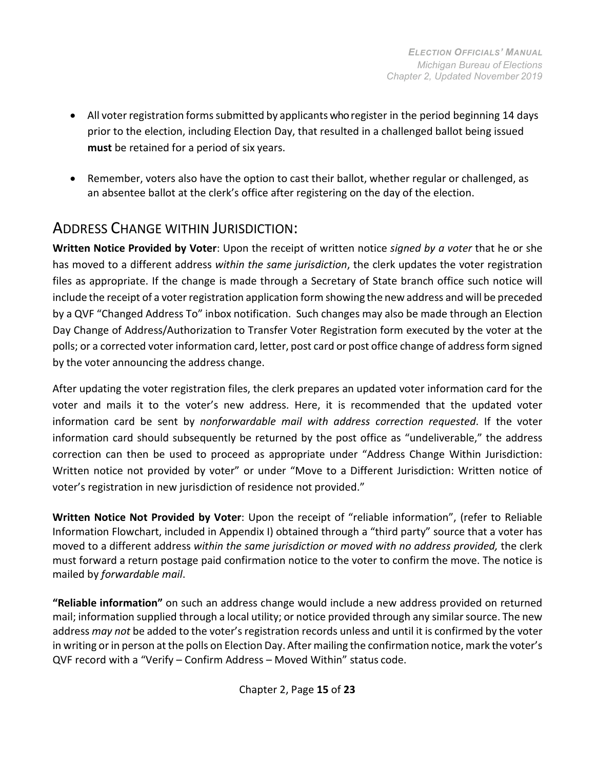- All voter registration forms submitted by applicants who register in the period beginning 14 days prior to the election, including Election Day, that resulted in a challenged ballot being issued **must** be retained for a period of six years.
- Remember, voters also have the option to cast their ballot, whether regular or challenged, as an absentee ballot at the clerk's office after registering on the day of the election.

## <span id="page-14-0"></span>ADDRESS CHANGE WITHIN JURISDICTION:

**Written Notice Provided by Voter**: Upon the receipt of written notice *signed by a voter* that he or she has moved to a different address *within the same jurisdiction*, the clerk updates the voter registration files as appropriate. If the change is made through a Secretary of State branch office such notice will include the receipt of a voter registration application form showing the new address and will be preceded by a QVF "Changed Address To" inbox notification. Such changes may also be made through an Election Day Change of Address/Authorization to Transfer Voter Registration form executed by the voter at the polls; or a corrected voter information card, letter, post card or post office change of address form signed by the voter announcing the address change.

After updating the voter registration files, the clerk prepares an updated voter information card for the voter and mails it to the voter's new address. Here, it is recommended that the updated voter information card be sent by *nonforwardable mail with address correction requested*. If the voter information card should subsequently be returned by the post office as "undeliverable," the address correction can then be used to proceed as appropriate under "Address Change Within Jurisdiction: Written notice not provided by voter" or under "Move to a Different Jurisdiction: Written notice of voter's registration in new jurisdiction of residence not provided."

**Written Notice Not Provided by Voter**: Upon the receipt of "reliable information", (refer to Reliable Information Flowchart, included in Appendix I) obtained through a "third party" source that a voter has moved to a different address *within the same jurisdiction or moved with no address provided,* the clerk must forward a return postage paid confirmation notice to the voter to confirm the move. The notice is mailed by *forwardable mail*.

**"Reliable information"** on such an address change would include a new address provided on returned mail; information supplied through a local utility; or notice provided through any similar source. The new address *may not* be added to the voter's registration records unless and until it is confirmed by the voter in writing or in person at the polls on Election Day. After mailing the confirmation notice, mark the voter's QVF record with a "Verify – Confirm Address – Moved Within" status code.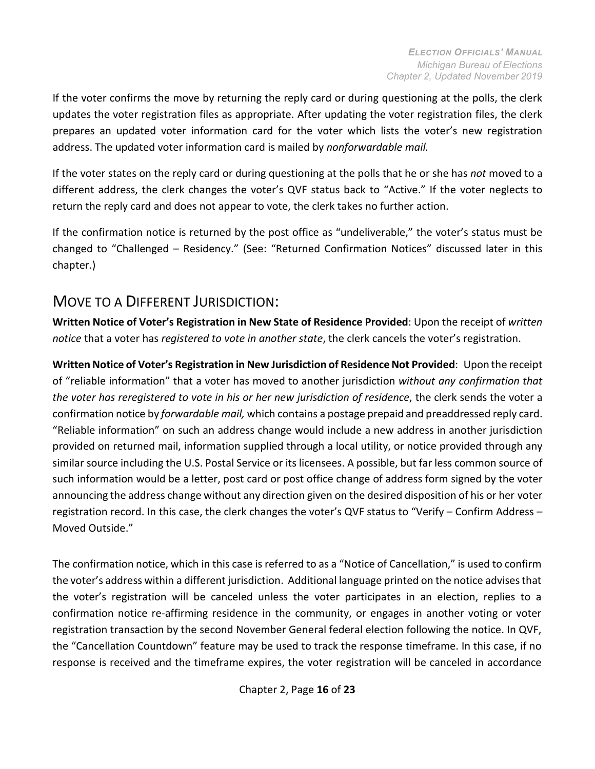If the voter confirms the move by returning the reply card or during questioning at the polls, the clerk updates the voter registration files as appropriate. After updating the voter registration files, the clerk prepares an updated voter information card for the voter which lists the voter's new registration address. The updated voter information card is mailed by *nonforwardable mail.*

If the voter states on the reply card or during questioning at the polls that he or she has *not* moved to a different address, the clerk changes the voter's QVF status back to "Active." If the voter neglects to return the reply card and does not appear to vote, the clerk takes no further action.

If the confirmation notice is returned by the post office as "undeliverable," the voter's status must be changed to "Challenged – Residency." (See: "Returned Confirmation Notices" discussed later in this chapter.)

#### <span id="page-15-0"></span>MOVE TO A DIFFERENT JURISDICTION:

**Written Notice of Voter's Registration in New State of Residence Provided**: Upon the receipt of *written notice* that a voter has *registered to vote in another state*, the clerk cancels the voter's registration.

**Written Notice of Voter's Registration in New Jurisdiction of ResidenceNot Provided**: Upon the receipt of "reliable information" that a voter has moved to another jurisdiction *without any confirmation that the voter has reregistered to vote in his or her new jurisdiction of residence*, the clerk sends the voter a confirmation notice by *forwardable mail,* which contains a postage prepaid and preaddressed reply card. "Reliable information" on such an address change would include a new address in another jurisdiction provided on returned mail, information supplied through a local utility, or notice provided through any similar source including the U.S. Postal Service or its licensees. A possible, but far less common source of such information would be a letter, post card or post office change of address form signed by the voter announcing the address change without any direction given on the desired disposition of his or her voter registration record. In this case, the clerk changes the voter's QVF status to "Verify – Confirm Address – Moved Outside."

The confirmation notice, which in this case is referred to as a "Notice of Cancellation," is used to confirm the voter's address within a different jurisdiction. Additional language printed on the notice advisesthat the voter's registration will be canceled unless the voter participates in an election, replies to a confirmation notice re-affirming residence in the community, or engages in another voting or voter registration transaction by the second November General federal election following the notice. In QVF, the "Cancellation Countdown" feature may be used to track the response timeframe. In this case, if no response is received and the timeframe expires, the voter registration will be canceled in accordance

Chapter 2, Page **16** of **23**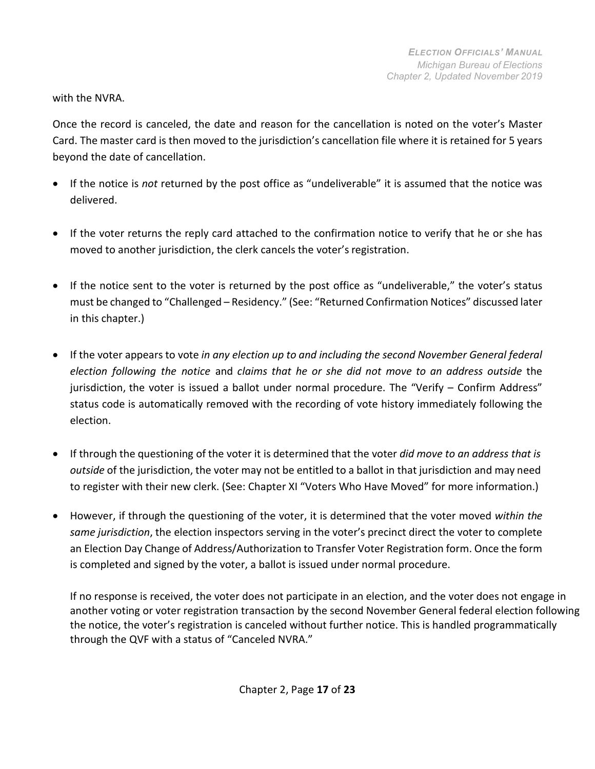with the NVRA.

Once the record is canceled, the date and reason for the cancellation is noted on the voter's Master Card. The master card is then moved to the jurisdiction's cancellation file where it is retained for 5 years beyond the date of cancellation.

- If the notice is *not* returned by the post office as "undeliverable" it is assumed that the notice was delivered.
- If the voter returns the reply card attached to the confirmation notice to verify that he or she has moved to another jurisdiction, the clerk cancels the voter's registration.
- If the notice sent to the voter is returned by the post office as "undeliverable," the voter's status must be changed to "Challenged – Residency." (See: "Returned Confirmation Notices" discussed later in this chapter.)
- If the voter appears to vote *in any election up to and including the second November General federal election following the notice* and *claims that he or she did not move to an address outside* the jurisdiction, the voter is issued a ballot under normal procedure. The "Verify – Confirm Address" status code is automatically removed with the recording of vote history immediately following the election.
- If through the questioning of the voter it is determined that the voter *did move to an address that is outside* of the jurisdiction, the voter may not be entitled to a ballot in that jurisdiction and may need to register with their new clerk. (See: Chapter XI "Voters Who Have Moved" for more information.)
- However, if through the questioning of the voter, it is determined that the voter moved *within the same jurisdiction*, the election inspectors serving in the voter's precinct direct the voter to complete an Election Day Change of Address/Authorization to Transfer Voter Registration form. Once the form is completed and signed by the voter, a ballot is issued under normal procedure.

If no response is received, the voter does not participate in an election, and the voter does not engage in another voting or voter registration transaction by the second November General federal election following the notice, the voter's registration is canceled without further notice. This is handled programmatically through the QVF with a status of "Canceled NVRA."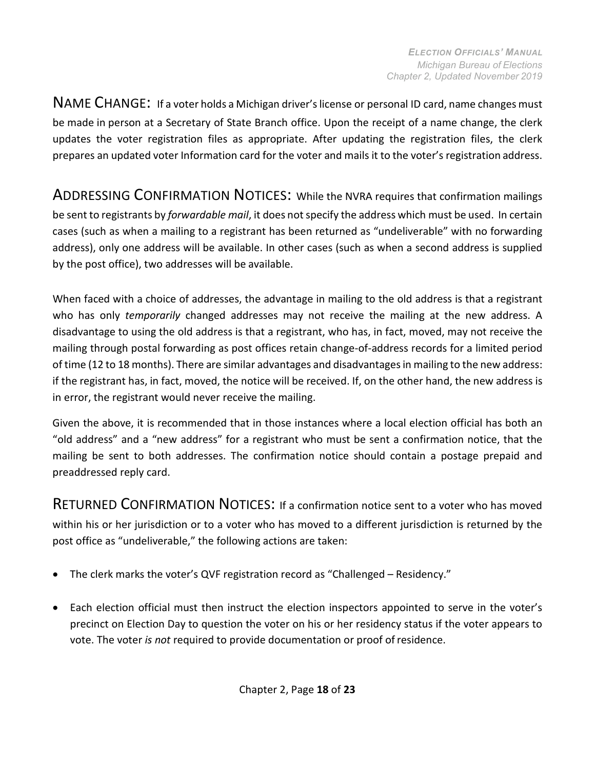<span id="page-17-0"></span>NAME CHANGE: If <sup>a</sup> voter holds <sup>a</sup> Michigan driver'slicense or personal ID card, name changes must be made in person at a Secretary of State Branch office. Upon the receipt of a name change, the clerk updates the voter registration files as appropriate. After updating the registration files, the clerk prepares an updated voter Information card for the voter and mails it to the voter's registration address.

<span id="page-17-1"></span>ADDRESSING CONFIRMATION NOTICES: While the NVRA requires that confirmation mailings be sent to registrants by *forwardable mail*, it does notspecify the address which must be used. In certain cases (such as when a mailing to a registrant has been returned as "undeliverable" with no forwarding address), only one address will be available. In other cases (such as when a second address is supplied by the post office), two addresses will be available.

When faced with a choice of addresses, the advantage in mailing to the old address is that a registrant who has only *temporarily* changed addresses may not receive the mailing at the new address. A disadvantage to using the old address is that a registrant, who has, in fact, moved, may not receive the mailing through postal forwarding as post offices retain change-of-address records for a limited period of time (12 to 18 months). There are similar advantages and disadvantages in mailing to the new address: if the registrant has, in fact, moved, the notice will be received. If, on the other hand, the new address is in error, the registrant would never receive the mailing.

Given the above, it is recommended that in those instances where a local election official has both an "old address" and a "new address" for a registrant who must be sent a confirmation notice, that the mailing be sent to both addresses. The confirmation notice should contain a postage prepaid and preaddressed reply card.

<span id="page-17-2"></span>RETURNED CONFIRMATION NOTICES: If a confirmation notice sent to a voter who has moved within his or her jurisdiction or to a voter who has moved to a different jurisdiction is returned by the post office as "undeliverable," the following actions are taken:

- The clerk marks the voter's QVF registration record as "Challenged Residency."
- Each election official must then instruct the election inspectors appointed to serve in the voter's precinct on Election Day to question the voter on his or her residency status if the voter appears to vote. The voter *is not* required to provide documentation or proof ofresidence.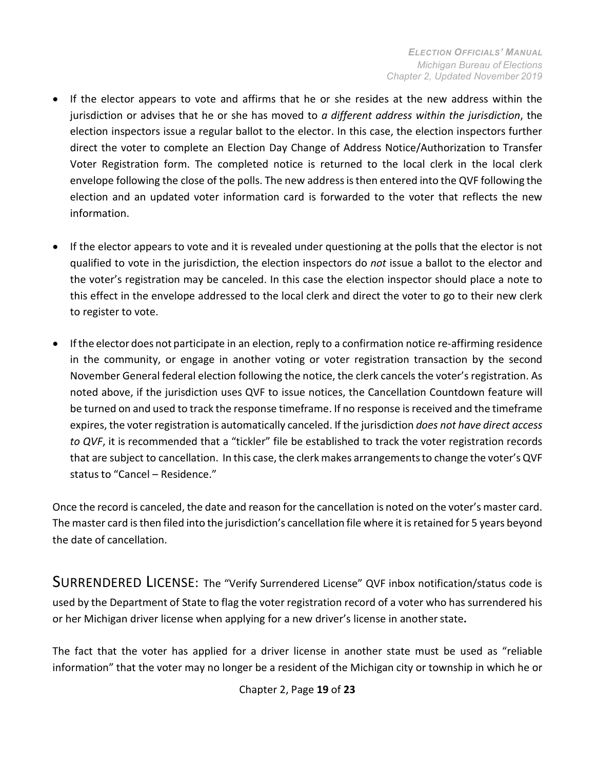- If the elector appears to vote and affirms that he or she resides at the new address within the jurisdiction or advises that he or she has moved to *a different address within the jurisdiction*, the election inspectors issue a regular ballot to the elector. In this case, the election inspectors further direct the voter to complete an Election Day Change of Address Notice/Authorization to Transfer Voter Registration form. The completed notice is returned to the local clerk in the local clerk envelope following the close of the polls. The new addressisthen entered into the QVF following the election and an updated voter information card is forwarded to the voter that reflects the new information.
- If the elector appears to vote and it is revealed under questioning at the polls that the elector is not qualified to vote in the jurisdiction, the election inspectors do *not* issue a ballot to the elector and the voter's registration may be canceled. In this case the election inspector should place a note to this effect in the envelope addressed to the local clerk and direct the voter to go to their new clerk to register to vote.
- Ifthe elector does not participate in an election, reply to a confirmation notice re-affirming residence in the community, or engage in another voting or voter registration transaction by the second November General federal election following the notice, the clerk cancels the voter's registration. As noted above, if the jurisdiction uses QVF to issue notices, the Cancellation Countdown feature will be turned on and used to track the response timeframe. If no response is received and the timeframe expires, the voter registration is automatically canceled. If the jurisdiction *does not have direct access to QVF*, it is recommended that a "tickler" file be established to track the voter registration records that are subject to cancellation. In this case, the clerk makes arrangementsto change the voter's QVF status to "Cancel – Residence."

<span id="page-18-0"></span>Once the record is canceled, the date and reason for the cancellation is noted on the voter's master card. The master card is then filed into the jurisdiction's cancellation file where it is retained for 5 years beyond the date of cancellation.

SURRENDERED LICENSE: The "Verify Surrendered License" QVF inbox notification/status code is used by the Department of State to flag the voter registration record of a voter who has surrendered his or her Michigan driver license when applying for a new driver's license in anotherstate**.**

The fact that the voter has applied for a driver license in another state must be used as "reliable information" that the voter may no longer be a resident of the Michigan city or township in which he or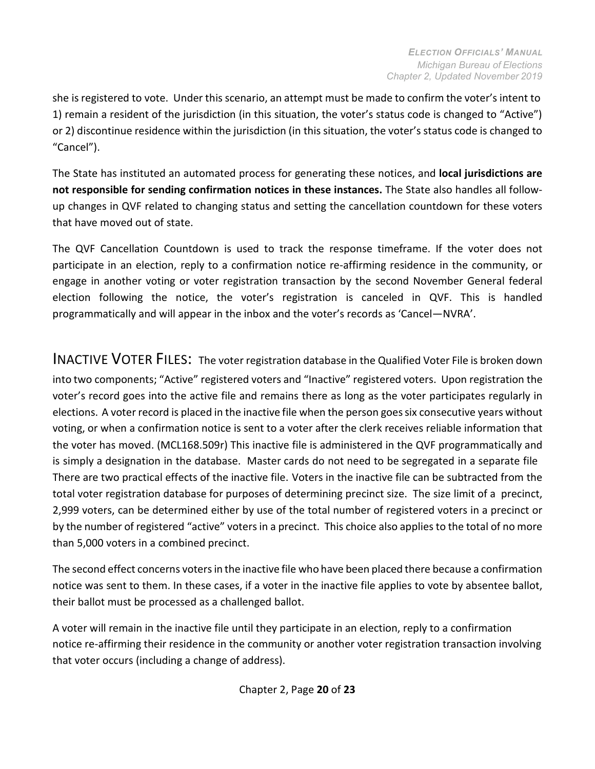she is registered to vote. Under this scenario, an attempt must be made to confirm the voter's intent to 1) remain a resident of the jurisdiction (in this situation, the voter's status code is changed to "Active") or 2) discontinue residence within the jurisdiction (in this situation, the voter's status code is changed to "Cancel").

The State has instituted an automated process for generating these notices, and **local jurisdictions are not responsible for sending confirmation notices in these instances.** The State also handles all followup changes in QVF related to changing status and setting the cancellation countdown for these voters that have moved out of state.

The QVF Cancellation Countdown is used to track the response timeframe. If the voter does not participate in an election, reply to a confirmation notice re-affirming residence in the community, or engage in another voting or voter registration transaction by the second November General federal election following the notice, the voter's registration is canceled in QVF. This is handled programmatically and will appear in the inbox and the voter's records as 'Cancel—NVRA'.

<span id="page-19-0"></span>INACTIVE VOTER FILES: The voter registration database in the Qualified Voter File is broken down into two components; "Active" registered voters and "Inactive" registered voters. Upon registration the voter's record goes into the active file and remains there as long as the voter participates regularly in elections. A voter record is placed in the inactive file when the person goessix consecutive years without voting, or when a confirmation notice is sent to a voter after the clerk receives reliable information that the voter has moved. (MCL168.509r) This inactive file is administered in the QVF programmatically and is simply a designation in the database. Master cards do not need to be segregated in a separate file There are two practical effects of the inactive file. Voters in the inactive file can be subtracted from the total voter registration database for purposes of determining precinct size. The size limit of a precinct, 2,999 voters, can be determined either by use of the total number of registered voters in a precinct or by the number of registered "active" voters in a precinct. This choice also applies to the total of no more than 5,000 voters in a combined precinct.

The second effect concerns votersin the inactive file who have been placed there because a confirmation notice was sent to them. In these cases, if a voter in the inactive file applies to vote by absentee ballot, their ballot must be processed as a challenged ballot.

<span id="page-19-1"></span>A voter will remain in the inactive file until they participate in an election, reply to a confirmation notice re-affirming their residence in the community or another voter registration transaction involving that voter occurs (including a change of address).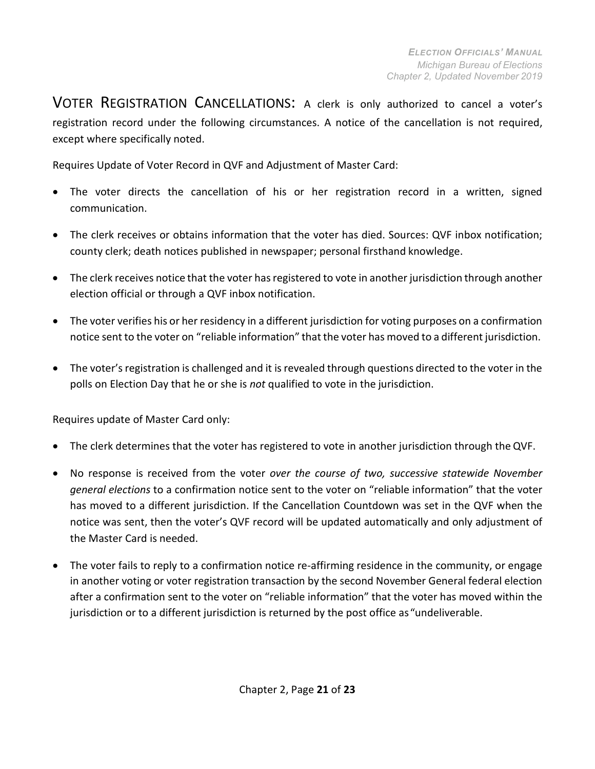VOTER REGISTRATION CANCELLATIONS: A clerk is only authorized to cancel a voter's registration record under the following circumstances. A notice of the cancellation is not required, except where specifically noted.

Requires Update of Voter Record in QVF and Adjustment of Master Card:

- The voter directs the cancellation of his or her registration record in a written, signed communication.
- The clerk receives or obtains information that the voter has died. Sources: QVF inbox notification; county clerk; death notices published in newspaper; personal firsthand knowledge.
- The clerk receives notice that the voter has registered to vote in another jurisdiction through another election official or through a QVF inbox notification.
- The voter verifies his or her residency in a different jurisdiction for voting purposes on a confirmation notice sent to the voter on "reliable information" that the voter has moved to a different jurisdiction.
- The voter's registration is challenged and it is revealed through questions directed to the voter in the polls on Election Day that he or she is *not* qualified to vote in the jurisdiction.

Requires update of Master Card only:

- The clerk determines that the voter has registered to vote in another jurisdiction through the QVF.
- No response is received from the voter *over the course of two, successive statewide November general elections* to a confirmation notice sent to the voter on "reliable information" that the voter has moved to a different jurisdiction. If the Cancellation Countdown was set in the QVF when the notice was sent, then the voter's QVF record will be updated automatically and only adjustment of the Master Card is needed.
- <span id="page-20-0"></span>• The voter fails to reply to a confirmation notice re-affirming residence in the community, or engage in another voting or voter registration transaction by the second November General federal election after a confirmation sent to the voter on "reliable information" that the voter has moved within the jurisdiction or to a different jurisdiction is returned by the post office as"undeliverable.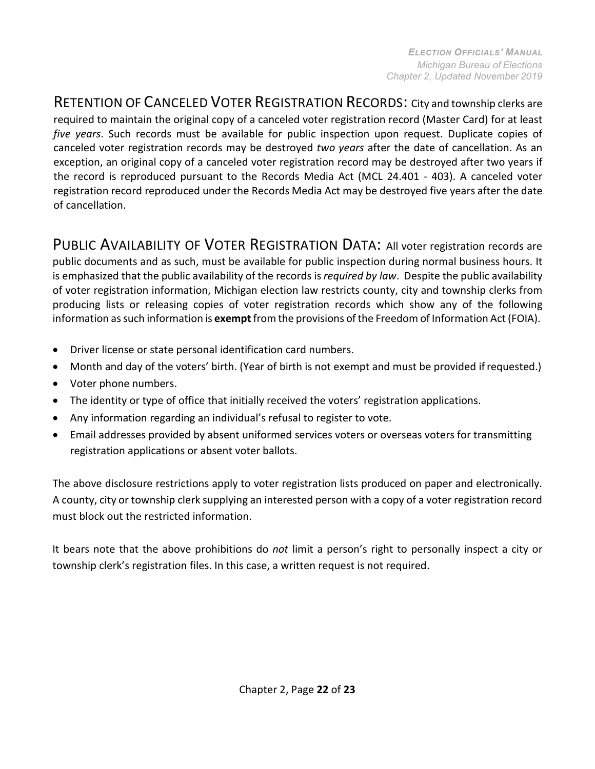RETENTION OF CANCELED VOTER REGISTRATION RECORDS: City and township clerks are required to maintain the original copy of a canceled voter registration record (Master Card) for at least *five years*. Such records must be available for public inspection upon request. Duplicate copies of canceled voter registration records may be destroyed *two years* after the date of cancellation. As an exception, an original copy of a canceled voter registration record may be destroyed after two years if the record is reproduced pursuant to the Records Media Act (MCL 24.401 - 403). A canceled voter registration record reproduced under the Records Media Act may be destroyed five years after the date of cancellation.

<span id="page-21-0"></span>PUBLIC AVAILABILITY OF VOTER REGISTRATION DATA: All voter registration records are public documents and as such, must be available for public inspection during normal business hours. It is emphasized that the public availability of the records is *required by law*. Despite the public availability of voter registration information, Michigan election law restricts county, city and township clerks from producing lists or releasing copies of voter registration records which show any of the following information assuch information is **exempt**from the provisions ofthe Freedom of Information Act (FOIA).

- Driver license or state personal identification card numbers.
- Month and day of the voters' birth. (Year of birth is not exempt and must be provided if requested.)
- Voter phone numbers.
- The identity or type of office that initially received the voters' registration applications.
- Any information regarding an individual's refusal to register to vote.
- Email addresses provided by absent uniformed services voters or overseas voters for transmitting registration applications or absent voter ballots.

The above disclosure restrictions apply to voter registration lists produced on paper and electronically. A county, city or township clerk supplying an interested person with a copy of a voter registration record must block out the restricted information.

It bears note that the above prohibitions do *not* limit a person's right to personally inspect a city or township clerk's registration files. In this case, a written request is not required.